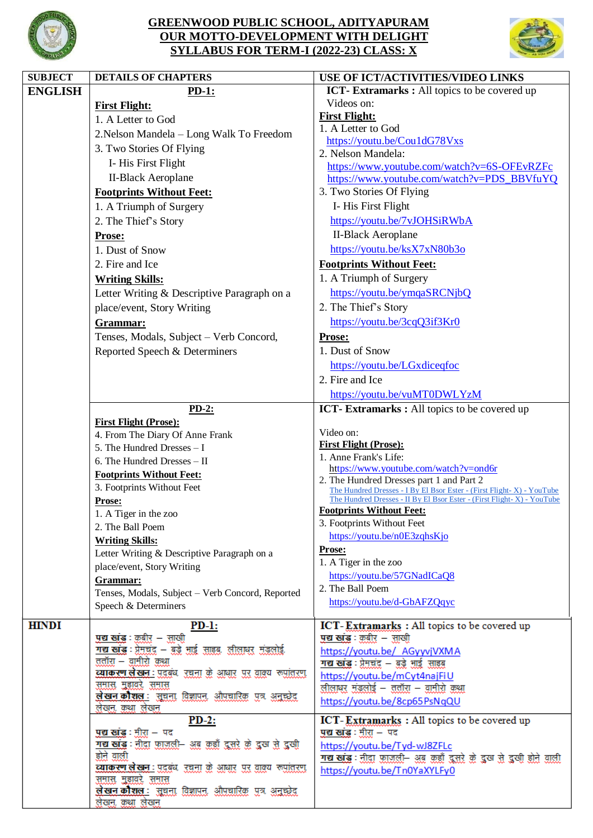

## **GREENWOOD PUBLIC SCHOOL, ADITYAPURAM OUR MOTTO-DEVELOPMENT WITH DELIGHT SYLLABUS FOR TERM-I (2022-23) CLASS: X**



| <b>SUBJECT</b> | <b>DETAILS OF CHAPTERS</b>                                                                 | USE OF ICT/ACTIVITIES/VIDEO LINKS                                                                                                               |
|----------------|--------------------------------------------------------------------------------------------|-------------------------------------------------------------------------------------------------------------------------------------------------|
| <b>ENGLISH</b> | $PD-1$ :                                                                                   | <b>ICT</b> - Extramarks: All topics to be covered up                                                                                            |
|                | <b>First Flight:</b>                                                                       | Videos on:                                                                                                                                      |
|                | 1. A Letter to God                                                                         | <b>First Flight:</b>                                                                                                                            |
|                | 2. Nelson Mandela - Long Walk To Freedom                                                   | 1. A Letter to God                                                                                                                              |
|                | 3. Two Stories Of Flying                                                                   | https://youtu.be/Cou1dG78Vxs                                                                                                                    |
|                | I-His First Flight                                                                         | 2. Nelson Mandela:<br>https://www.youtube.com/watch?v=6S-OFEvRZFc                                                                               |
|                | <b>II-Black Aeroplane</b>                                                                  | https://www.youtube.com/watch?v=PDS_BBVfuYQ                                                                                                     |
|                | <b>Footprints Without Feet:</b>                                                            | 3. Two Stories Of Flying                                                                                                                        |
|                | 1. A Triumph of Surgery                                                                    | I-His First Flight                                                                                                                              |
|                | 2. The Thief's Story                                                                       | https://youtu.be/7vJOHSiRWbA                                                                                                                    |
|                |                                                                                            | <b>II-Black Aeroplane</b>                                                                                                                       |
|                | <b>Prose:</b><br>1. Dust of Snow                                                           | https://youtu.be/ksX7xN80b3o                                                                                                                    |
|                |                                                                                            |                                                                                                                                                 |
|                | 2. Fire and Ice                                                                            | <b>Footprints Without Feet:</b>                                                                                                                 |
|                | <b>Writing Skills:</b>                                                                     | 1. A Triumph of Surgery                                                                                                                         |
|                | Letter Writing & Descriptive Paragraph on a                                                | https://youtu.be/ymqaSRCNjbQ                                                                                                                    |
|                | place/event, Story Writing                                                                 | 2. The Thief's Story                                                                                                                            |
|                | Grammar:                                                                                   | https://youtu.be/3cqQ3if3Kr0                                                                                                                    |
|                | Tenses, Modals, Subject - Verb Concord,                                                    | <b>Prose:</b>                                                                                                                                   |
|                | Reported Speech & Determiners                                                              | 1. Dust of Snow                                                                                                                                 |
|                |                                                                                            | https://youtu.be/LGxdiceqfoc                                                                                                                    |
|                |                                                                                            | 2. Fire and Ice                                                                                                                                 |
|                |                                                                                            | https://youtu.be/vuMT0DWLYzM                                                                                                                    |
|                | $PD-2:$                                                                                    | ICT-Extramarks: All topics to be covered up                                                                                                     |
|                | <b>First Flight (Prose):</b>                                                               |                                                                                                                                                 |
|                | 4. From The Diary Of Anne Frank                                                            | Video on:                                                                                                                                       |
|                | 5. The Hundred Dresses - I                                                                 | <b>First Flight (Prose):</b><br>1. Anne Frank's Life:                                                                                           |
|                | 6. The Hundred Dresses - II                                                                | https://www.youtube.com/watch?v=ond6r                                                                                                           |
|                | <b>Footprints Without Feet:</b>                                                            | 2. The Hundred Dresses part 1 and Part 2                                                                                                        |
|                | 3. Footprints Without Feet                                                                 | The Hundred Dresses - I By El Bsor Ester - (First Flight-X) - YouTube<br>The Hundred Dresses - II By El Bsor Ester - (First Flight-X) - YouTube |
|                | Prose:<br>1. A Tiger in the zoo                                                            | <b>Footprints Without Feet:</b>                                                                                                                 |
|                | 2. The Ball Poem                                                                           | 3. Footprints Without Feet                                                                                                                      |
|                | <b>Writing Skills:</b>                                                                     | https://youtu.be/n0E3zqhsKjo                                                                                                                    |
|                | Letter Writing & Descriptive Paragraph on a                                                | <u>Prose:</u>                                                                                                                                   |
|                | place/event, Story Writing                                                                 | 1. A Tiger in the zoo                                                                                                                           |
|                | Grammar:                                                                                   | https://youtu.be/57GNadICaQ8                                                                                                                    |
|                | Tenses, Modals, Subject - Verb Concord, Reported                                           | 2. The Ball Poem                                                                                                                                |
|                | Speech & Determiners                                                                       | https://youtu.be/d-GbAFZQqyc                                                                                                                    |
| <b>HINDI</b>   | $PD-1:$                                                                                    | ICT-Extramarks : All topics to be covered up                                                                                                    |
|                | <u>पद्य खांड</u> : कबीर – साखी                                                             | <u>पद्य खंड</u> : <u>कबीर</u> – साखी                                                                                                            |
|                | <u>गद्य खाँख : प्रेमचंद्र – बुड़े भाई साहब, लीलायर मंडलोई, </u>                            | https://youtu.be/ AGyyvjVXMA                                                                                                                    |
|                | ततॉरा – वामीरो कथा                                                                         | <u>गद्य खोद्ध : प्रेमचंद – बुड़े भाई  साइब्र</u>                                                                                                |
|                | व्याकरण लेखन : पदबंध रचना के आधार पर वाक्य रूपांतरण                                        | https://youtu.be/mCyt4najFiU                                                                                                                    |
|                | <u>समास, महावरे, समास</u><br><u>लेखन कौशल : सुचना, विज्ञापन, औपचारिक, पुत्र, अनुच्छेद,</u> | लीलायर मंडलोई – ततॉरा – वामीरो कथा                                                                                                              |
|                | लेखन, कथा लेखन                                                                             | https://youtu.be/8cp65PsNqQU                                                                                                                    |
|                | $PD-2$ :                                                                                   | ICT-Extramarks : All topics to be covered up                                                                                                    |
|                | <u>पद्य खंड : मीरा</u> – पद                                                                | <u>पद्य खाँड : मीरा</u> – पद                                                                                                                    |
|                | <u>गद्य खांड : तीदा फ़ाजली- अब कहाँ दूसरे के दुख से दुखी</u><br>होने वाली                  | https://youtu.be/Tyd-wJ8ZFLc                                                                                                                    |
|                | <u>ट्याकरण लेखन : प्रदुबंध, रचना के आधार, पर वाक्य, रूपांतरण,</u>                          | <u>गद्य खाँड : तीद्रा फ़ाजली– अब कहाँ दूसरे के दुख से दुखी होते वाली</u>                                                                        |
|                | समास महावरे समास                                                                           | https://youtu.be/Tn0YaXYLFy0                                                                                                                    |
|                | लेखन कौशल : सूचना विज्ञापन, औपचारिक पुत्र अनुचरेद                                          |                                                                                                                                                 |
|                | लेखन, कथा लेखन                                                                             |                                                                                                                                                 |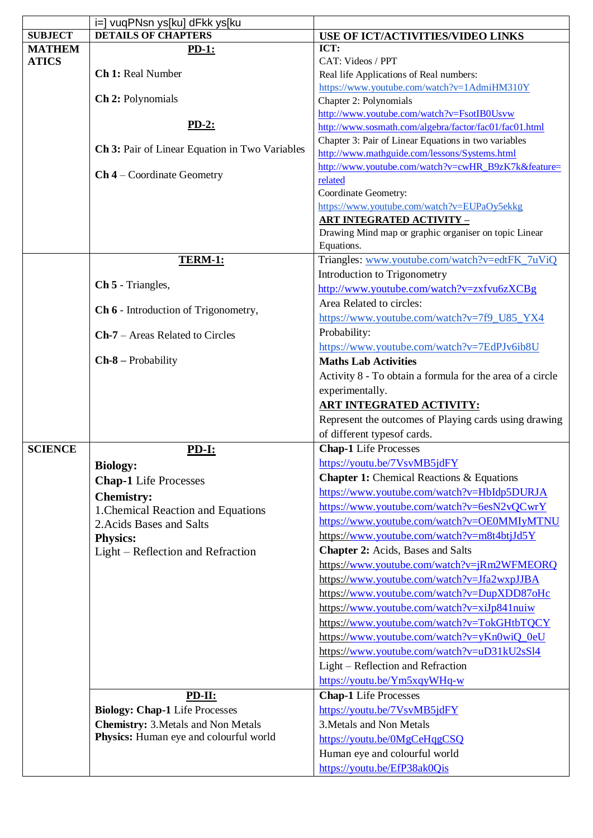|                | i=] vuqPNsn ys[ku] dFkk ys[ku                  |                                                           |
|----------------|------------------------------------------------|-----------------------------------------------------------|
| <b>SUBJECT</b> | <b>DETAILS OF CHAPTERS</b>                     | USE OF ICT/ACTIVITIES/VIDEO LINKS                         |
| <b>MATHEM</b>  | $PD-1$ :                                       | ICT:                                                      |
| <b>ATICS</b>   |                                                | CAT: Videos / PPT                                         |
|                | Ch 1: Real Number                              | Real life Applications of Real numbers:                   |
|                |                                                | https://www.youtube.com/watch?v=1AdmiHM310Y               |
|                | Ch 2: Polynomials                              | Chapter 2: Polynomials                                    |
|                |                                                | http://www.youtube.com/watch?v=FsotIB0Usvw                |
|                | $PD-2:$                                        | http://www.sosmath.com/algebra/factor/fac01/fac01.html    |
|                |                                                | Chapter 3: Pair of Linear Equations in two variables      |
|                | Ch 3: Pair of Linear Equation in Two Variables | http://www.mathguide.com/lessons/Systems.html             |
|                | $Ch 4$ – Coordinate Geometry                   | http://www.youtube.com/watch?v=cwHR_B9zK7k&feature=       |
|                |                                                | related                                                   |
|                |                                                | Coordinate Geometry:                                      |
|                |                                                | https://www.youtube.com/watch?v=EUPaOy5ekkg               |
|                |                                                | <b>ART INTEGRATED ACTIVITY -</b>                          |
|                |                                                | Drawing Mind map or graphic organiser on topic Linear     |
|                |                                                | Equations.                                                |
|                | TERM-1:                                        | Triangles: www.youtube.com/watch?v=edtFK_7uViQ            |
|                |                                                | Introduction to Trigonometry                              |
|                | Ch 5 - Triangles,                              | http://www.youtube.com/watch?v=zxfvu6zXCBg                |
|                | Ch 6 - Introduction of Trigonometry,           | Area Related to circles:                                  |
|                |                                                | https://www.youtube.com/watch?v=7f9_U85_YX4               |
|                | $Ch-7$ – Areas Related to Circles              | Probability:                                              |
|                |                                                | https://www.youtube.com/watch?v=7EdPJv6ib8U               |
|                | $Ch-8$ – Probability                           | <b>Maths Lab Activities</b>                               |
|                |                                                | Activity 8 - To obtain a formula for the area of a circle |
|                |                                                | experimentally.                                           |
|                |                                                | <b>ART INTEGRATED ACTIVITY:</b>                           |
|                |                                                | Represent the outcomes of Playing cards using drawing     |
|                |                                                | of different typesof cards.                               |
| <b>SCIENCE</b> | <u>PD-I:</u>                                   | <b>Chap-1</b> Life Processes                              |
|                | <b>Biology:</b>                                | https://youtu.be/7VsvMB5jdFY                              |
|                |                                                | <b>Chapter 1:</b> Chemical Reactions & Equations          |
|                | <b>Chap-1</b> Life Processes                   | https://www.youtube.com/watch?v=HbIdp5DURJA               |
|                | <b>Chemistry:</b>                              | https://www.youtube.com/watch?v=6esN2vQCwrY               |
|                | 1. Chemical Reaction and Equations             | https://www.youtube.com/watch?v=OE0MMIyMTNU               |
|                | 2. Acids Bases and Salts                       | https://www.youtube.com/watch?v=m8t4btjJd5Y               |
|                | Physics:                                       |                                                           |
|                | Light – Reflection and Refraction              | <b>Chapter 2:</b> Acids, Bases and Salts                  |
|                |                                                | https://www.youtube.com/watch?v=jRm2WFMEORQ               |
|                |                                                | https://www.youtube.com/watch?v=Jfa2wxpJJBA               |
|                |                                                | https://www.youtube.com/watch?v=DupXDD87oHc               |
|                |                                                | https://www.youtube.com/watch?v=xiJp841nuiw               |
|                |                                                | https://www.youtube.com/watch?v=TokGHtbTQCY               |
|                |                                                | https://www.youtube.com/watch?v=yKn0wiQ_0eU               |
|                |                                                | https://www.youtube.com/watch?v=uD31kU2sSl4               |
|                |                                                | Light – Reflection and Refraction                         |
|                |                                                | https://youtu.be/Ym5xqyWHq-w                              |
|                | PD-II:                                         | <b>Chap-1</b> Life Processes                              |
|                | <b>Biology: Chap-1 Life Processes</b>          | https://youtu.be/7VsvMB5jdFY                              |
|                | <b>Chemistry: 3. Metals and Non Metals</b>     | 3. Metals and Non Metals                                  |
|                | Physics: Human eye and colourful world         | https://youtu.be/0MgCeHqgCSQ                              |
|                |                                                | Human eye and colourful world                             |
|                |                                                |                                                           |
|                |                                                | https://youtu.be/EfP38ak0Qis                              |